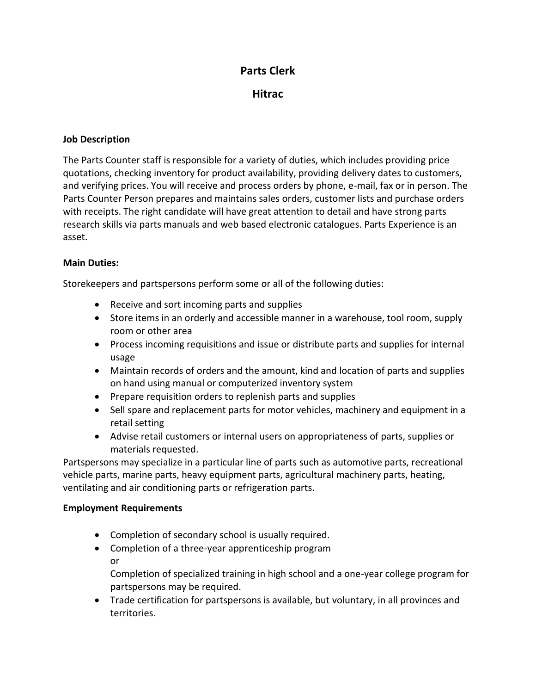# **Parts Clerk**

**Hitrac**

## **Job Description**

The Parts Counter staff is responsible for a variety of duties, which includes providing price quotations, checking inventory for product availability, providing delivery dates to customers, and verifying prices. You will receive and process orders by phone, e-mail, fax or in person. The Parts Counter Person prepares and maintains sales orders, customer lists and purchase orders with receipts. The right candidate will have great attention to detail and have strong parts research skills via parts manuals and web based electronic catalogues. Parts Experience is an asset.

### **Main Duties:**

Storekeepers and partspersons perform some or all of the following duties:

- Receive and sort incoming parts and supplies
- Store items in an orderly and accessible manner in a warehouse, tool room, supply room or other area
- Process incoming requisitions and issue or distribute parts and supplies for internal usage
- Maintain records of orders and the amount, kind and location of parts and supplies on hand using manual or computerized inventory system
- Prepare requisition orders to replenish parts and supplies
- Sell spare and replacement parts for motor vehicles, machinery and equipment in a retail setting
- Advise retail customers or internal users on appropriateness of parts, supplies or materials requested.

Partspersons may specialize in a particular line of parts such as automotive parts, recreational vehicle parts, marine parts, heavy equipment parts, agricultural machinery parts, heating, ventilating and air conditioning parts or refrigeration parts.

#### **Employment Requirements**

- Completion of secondary school is usually required.
- Completion of a three-year apprenticeship program or Completion of specialized training in high school and a one-year college program for partspersons may be required.
- Trade certification for partspersons is available, but voluntary, in all provinces and territories.